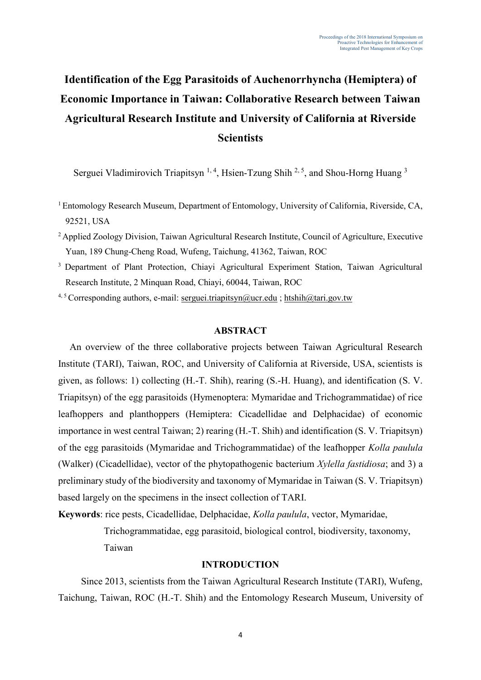# **Identification of the Egg Parasitoids of Auchenorrhyncha (Hemiptera) of Economic Importance in Taiwan: Collaborative Research between Taiwan Agricultural Research Institute and University of California at Riverside Scientists**

Serguei Vladimirovich Triapitsyn<sup>1, 4</sup>, Hsien-Tzung Shih<sup>2, 5</sup>, and Shou-Horng Huang<sup>3</sup>

<sup>1</sup> Entomology Research Museum, Department of Entomology, University of California, Riverside, CA, 92521, USA

- <sup>2</sup> Applied Zoology Division. Taiwan Agricultural Research Institute, Council of Agriculture, Executive Yuan, 189 Chung-Cheng Road, Wufeng, Taichung, 41362, Taiwan, ROC
- <sup>3</sup> Department of Plant Protection, Chiayi Agricultural Experiment Station, Taiwan Agricultural Research Institute, 2 Minquan Road, Chiayi, 60044, Taiwan, ROC
- 4, 5 Corresponding authors, e-mail: [serguei.triapitsyn@ucr.edu](mailto:serguei.triapitsyn@ucr.edu) ; htshih@tari.gov.tw

#### **ABSTRACT**

An overview of the three collaborative projects between Taiwan Agricultural Research Institute (TARI), Taiwan, ROC, and University of California at Riverside, USA, scientists is given, as follows: 1) collecting (H.-T. Shih), rearing (S.-H. Huang), and identification (S. V. Triapitsyn) of the egg parasitoids (Hymenoptera: Mymaridae and Trichogrammatidae) of rice leafhoppers and planthoppers (Hemiptera: Cicadellidae and Delphacidae) of economic importance in west central Taiwan; 2) rearing (H.-T. Shih) and identification (S. V. Triapitsyn) of the egg parasitoids (Mymaridae and Trichogrammatidae) of the leafhopper *Kolla paulula* (Walker) (Cicadellidae), vector of the phytopathogenic bacterium *Xylella fastidiosa*; and 3) a preliminary study of the biodiversity and taxonomy of Mymaridae in Taiwan (S. V. Triapitsyn) based largely on the specimens in the insect collection of TARI.

**Keywords**: rice pests, Cicadellidae, Delphacidae, *Kolla paulula*, vector, Mymaridae, Trichogrammatidae, egg parasitoid, biological control, biodiversity, taxonomy, Taiwan

## **INTRODUCTION**

Since 2013, scientists from the Taiwan Agricultural Research Institute (TARI), Wufeng, Taichung, Taiwan, ROC (H.-T. Shih) and the Entomology Research Museum, University of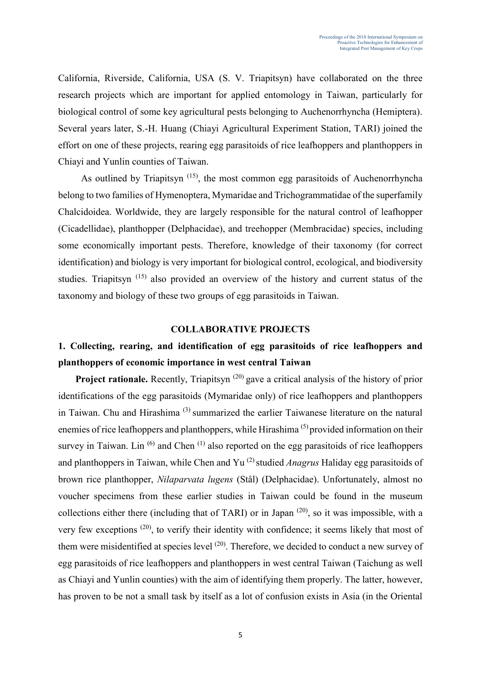California, Riverside, California, USA (S. V. Triapitsyn) have collaborated on the three research projects which are important for applied entomology in Taiwan, particularly for biological control of some key agricultural pests belonging to Auchenorrhyncha (Hemiptera). Several years later, S.-H. Huang (Chiayi Agricultural Experiment Station, TARI) joined the effort on one of these projects, rearing egg parasitoids of rice leafhoppers and planthoppers in Chiayi and Yunlin counties of Taiwan.

As outlined by Triapitsyn<sup> $(15)$ </sup>, the most common egg parasitoids of Auchenorrhyncha belong to two families of Hymenoptera, Mymaridae and Trichogrammatidae of the superfamily Chalcidoidea. Worldwide, they are largely responsible for the natural control of leafhopper (Cicadellidae), planthopper (Delphacidae), and treehopper (Membracidae) species, including some economically important pests. Therefore, knowledge of their taxonomy (for correct identification) and biology is very important for biological control, ecological, and biodiversity studies. Triapitsyn<sup>(15)</sup> also provided an overview of the history and current status of the taxonomy and biology of these two groups of egg parasitoids in Taiwan.

### **COLLABORATIVE PROJECTS**

# **1. Collecting, rearing, and identification of egg parasitoids of rice leafhoppers and planthoppers of economic importance in west central Taiwan**

**Project rationale.** Recently, Triapitsyn<sup>(20)</sup> gave a critical analysis of the history of prior identifications of the egg parasitoids (Mymaridae only) of rice leafhoppers and planthoppers in Taiwan. Chu and Hirashima (3) summarized the earlier Taiwanese literature on the natural enemies of rice leafhoppers and planthoppers, while Hirashima<sup>(5)</sup> provided information on their survey in Taiwan. Lin<sup>(6)</sup> and Chen<sup>(1)</sup> also reported on the egg parasitoids of rice leafhoppers and planthoppers in Taiwan, while Chen and Yu (2) studied *Anagrus* Haliday egg parasitoids of brown rice planthopper, *Nilaparvata lugens* (Stål) (Delphacidae). Unfortunately, almost no voucher specimens from these earlier studies in Taiwan could be found in the museum collections either there (including that of TARI) or in Japan  $(20)$ , so it was impossible, with a very few exceptions (20), to verify their identity with confidence; it seems likely that most of them were misidentified at species level (20). Therefore, we decided to conduct a new survey of egg parasitoids of rice leafhoppers and planthoppers in west central Taiwan (Taichung as well as Chiayi and Yunlin counties) with the aim of identifying them properly. The latter, however, has proven to be not a small task by itself as a lot of confusion exists in Asia (in the Oriental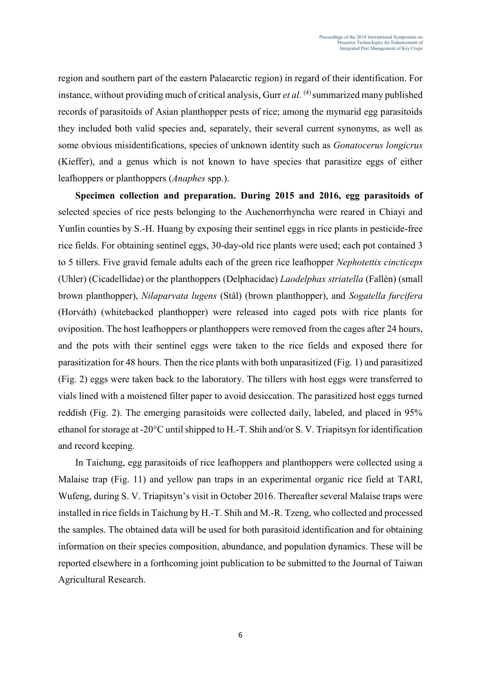region and southern part of the eastern Palaearctic region) in regard of their identification. For instance, without providing much of critical analysis, Gurr *et al.* (4) summarized many published records of parasitoids of Asian planthopper pests of rice; among the mymarid egg parasitoids they included both valid species and, separately, their several current synonyms, as well as some obvious misidentifications, species of unknown identity such as *Gonatocerus longicrus*  (Kieffer), and a genus which is not known to have species that parasitize eggs of either leafhoppers or planthoppers (*Anaphes* spp.).

**Specimen collection and preparation. During 2015 and 2016, egg parasitoids of** selected species of rice pests belonging to the Auchenorrhyncha were reared in Chiayi and Yunlin counties by S.-H. Huang by exposing their sentinel eggs in rice plants in pesticide-free rice fields. For obtaining sentinel eggs, 30-day-old rice plants were used; each pot contained 3 to 5 tillers. Five gravid female adults each of the green rice leafhopper *Nephotettix cincticeps* (Uhler) (Cicadellidae) or the planthoppers (Delphacidae) *Laodelphax striatella* (Fallén) (small brown planthopper), *Nilaparvata lugens* (Stål) (brown planthopper), and *Sogatella furcifera*  (Horváth) (whitebacked planthopper) were released into caged pots with rice plants for oviposition. The host leafhoppers or planthoppers were removed from the cages after 24 hours, and the pots with their sentinel eggs were taken to the rice fields and exposed there for parasitization for 48 hours. Then the rice plants with both unparasitized (Fig. 1) and parasitized (Fig. 2) eggs were taken back to the laboratory. The tillers with host eggs were transferred to vials lined with a moistened filter paper to avoid desiccation. The parasitized host eggs turned reddish (Fig. 2). The emerging parasitoids were collected daily, labeled, and placed in 95% ethanol for storage at -20°C until shipped to H.-T. Shih and/or S. V. Triapitsyn for identification and record keeping.

In Taichung, egg parasitoids of rice leafhoppers and planthoppers were collected using a Malaise trap (Fig. 11) and yellow pan traps in an experimental organic rice field at TARI, Wufeng, during S. V. Triapitsyn's visit in October 2016. Thereafter several Malaise traps were installed in rice fields in Taichung by H.-T. Shih and M.-R. Tzeng, who collected and processed the samples. The obtained data will be used for both parasitoid identification and for obtaining information on their species composition, abundance, and population dynamics. These will be reported elsewhere in a forthcoming joint publication to be submitted to the Journal of Taiwan Agricultural Research.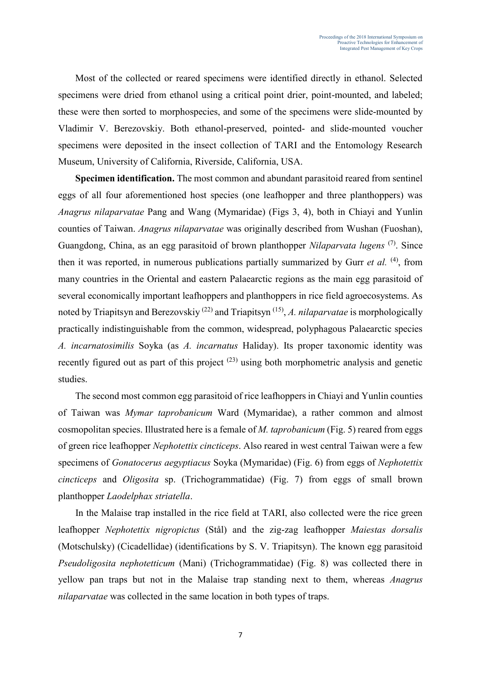Most of the collected or reared specimens were identified directly in ethanol. Selected specimens were dried from ethanol using a critical point drier, point-mounted, and labeled; these were then sorted to morphospecies, and some of the specimens were slide-mounted by Vladimir V. Berezovskiy. Both ethanol-preserved, pointed- and slide-mounted voucher specimens were deposited in the insect collection of TARI and the Entomology Research Museum, University of California, Riverside, California, USA.

**Specimen identification.** The most common and abundant parasitoid reared from sentinel eggs of all four aforementioned host species (one leafhopper and three planthoppers) was *Anagrus nilaparvatae* Pang and Wang (Mymaridae) (Figs 3, 4), both in Chiayi and Yunlin counties of Taiwan. *Anagrus nilaparvatae* was originally described from Wushan (Fuoshan), Guangdong, China, as an egg parasitoid of brown planthopper *Nilaparvata lugens* (7). Since then it was reported, in numerous publications partially summarized by Gurr *et al.* (4), from many countries in the Oriental and eastern Palaearctic regions as the main egg parasitoid of several economically important leafhoppers and planthoppers in rice field agroecosystems. As noted by Triapitsyn and Berezovskiy (22) and Triapitsyn (15) , *A. nilaparvatae* is morphologically practically indistinguishable from the common, widespread, polyphagous Palaearctic species *A. incarnatosimilis* Soyka (as *A. incarnatus* Haliday). Its proper taxonomic identity was recently figured out as part of this project  $(23)$  using both morphometric analysis and genetic studies.

The second most common egg parasitoid of rice leafhoppers in Chiayi and Yunlin counties of Taiwan was *Mymar taprobanicum* Ward (Mymaridae), a rather common and almost cosmopolitan species. Illustrated here is a female of *M. taprobanicum* (Fig. 5) reared from eggs of green rice leafhopper *Nephotettix cincticeps*. Also reared in west central Taiwan were a few specimens of *Gonatocerus aegyptiacus* Soyka (Mymaridae) (Fig. 6) from eggs of *Nephotettix cincticeps* and *Oligosita* sp. (Trichogrammatidae) (Fig. 7) from eggs of small brown planthopper *Laodelphax striatella*.

In the Malaise trap installed in the rice field at TARI, also collected were the rice green leafhopper *Nephotettix nigropictus* (Stål) and the zig-zag leafhopper *Maiestas dorsalis* (Motschulsky) (Cicadellidae) (identifications by S. V. Triapitsyn). The known egg parasitoid *Pseudoligosita nephotetticum* (Mani) (Trichogrammatidae) (Fig. 8) was collected there in yellow pan traps but not in the Malaise trap standing next to them, whereas *Anagrus nilaparvatae* was collected in the same location in both types of traps.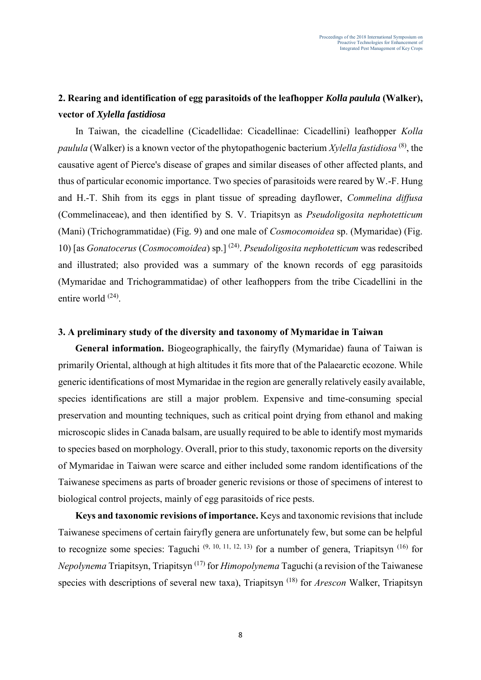# **2. Rearing and identification of egg parasitoids of the leafhopper** *Kolla paulula* **(Walker), vector of** *Xylella fastidiosa*

In Taiwan, the cicadelline (Cicadellidae: Cicadellinae: Cicadellini) leafhopper *Kolla paulula* (Walker) is a known vector of the phytopathogenic bacterium *Xylella fastidiosa* (8), the causative agent of Pierce's disease of grapes and similar diseases of other affected plants, and thus of particular economic importance. Two species of parasitoids were reared by W.-F. Hung and H.-T. Shih from its eggs in plant tissue of spreading dayflower, *Commelina diffusa* (Commelinaceae), and then identified by S. V. Triapitsyn as *Pseudoligosita nephotetticum*  (Mani) (Trichogrammatidae) (Fig. 9) and one male of *Cosmocomoidea* sp. (Mymaridae) (Fig. 10) [as *Gonatocerus* (*Cosmocomoidea*) sp.] (24) . *Pseudoligosita nephotetticum* was redescribed and illustrated; also provided was a summary of the known records of egg parasitoids (Mymaridae and Trichogrammatidae) of other leafhoppers from the tribe Cicadellini in the entire world <sup>(24)</sup>.

## **3. A preliminary study of the diversity and taxonomy of Mymaridae in Taiwan**

**General information.** Biogeographically, the fairyfly (Mymaridae) fauna of Taiwan is primarily Oriental, although at high altitudes it fits more that of the Palaearctic ecozone. While generic identifications of most Mymaridae in the region are generally relatively easily available, species identifications are still a major problem. Expensive and time-consuming special preservation and mounting techniques, such as critical point drying from ethanol and making microscopic slides in Canada balsam, are usually required to be able to identify most mymarids to species based on morphology. Overall, prior to this study, taxonomic reports on the diversity of Mymaridae in Taiwan were scarce and either included some random identifications of the Taiwanese specimens as parts of broader generic revisions or those of specimens of interest to biological control projects, mainly of egg parasitoids of rice pests.

**Keys and taxonomic revisions of importance.** Keys and taxonomic revisions that include Taiwanese specimens of certain fairyfly genera are unfortunately few, but some can be helpful to recognize some species: Taguchi  $(9, 10, 11, 12, 13)$  for a number of genera, Triapitsyn  $(16)$  for *Nepolynema* Triapitsyn, Triapitsyn (17) for *Himopolynema* Taguchi (a revision of the Taiwanese species with descriptions of several new taxa), Triapitsyn (18) for *Arescon* Walker, Triapitsyn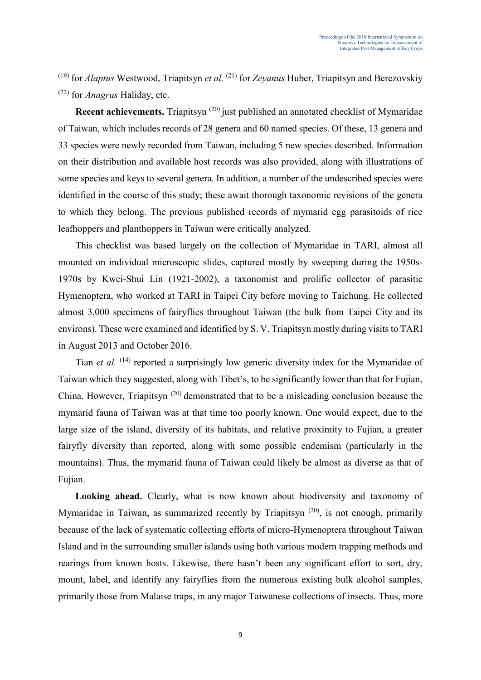(19) for *Alaptus* Westwood, Triapitsyn *et al.* (21) for *Zeyanus* Huber, Triapitsyn and Berezovskiy (22) for *Anagrus* Haliday, etc.

**Recent achievements.** Triapitsyn<sup>(20)</sup> just published an annotated checklist of Mymaridae of Taiwan, which includes records of 28 genera and 60 named species. Of these, 13 genera and 33 species were newly recorded from Taiwan, including 5 new species described. Information on their distribution and available host records was also provided, along with illustrations of some species and keys to several genera. In addition, a number of the undescribed species were identified in the course of this study; these await thorough taxonomic revisions of the genera to which they belong. The previous published records of mymarid egg parasitoids of rice leafhoppers and planthoppers in Taiwan were critically analyzed.

This checklist was based largely on the collection of Mymaridae in TARI, almost all mounted on individual microscopic slides, captured mostly by sweeping during the 1950s-1970s by Kwei-Shui Lin (1921-2002), a taxonomist and prolific collector of parasitic Hymenoptera, who worked at TARI in Taipei City before moving to Taichung. He collected almost 3,000 specimens of fairyflies throughout Taiwan (the bulk from Taipei City and its environs). These were examined and identified by S. V. Triapitsyn mostly during visits to TARI in August 2013 and October 2016.

Tian *et al.* <sup>(14)</sup> reported a surprisingly low generic diversity index for the Mymaridae of Taiwan which they suggested, along with Tibet's, to be significantly lower than that for Fujian, China. However, Triapitsyn<sup>(20)</sup> demonstrated that to be a misleading conclusion because the mymarid fauna of Taiwan was at that time too poorly known. One would expect, due to the large size of the island, diversity of its habitats, and relative proximity to Fujian, a greater fairyfly diversity than reported, along with some possible endemism (particularly in the mountains). Thus, the mymarid fauna of Taiwan could likely be almost as diverse as that of Fujian.

Looking ahead. Clearly, what is now known about biodiversity and taxonomy of Mymaridae in Taiwan, as summarized recently by Triapitsyn<sup> $(20)$ </sup>, is not enough, primarily because of the lack of systematic collecting efforts of micro-Hymenoptera throughout Taiwan Island and in the surrounding smaller islands using both various modern trapping methods and rearings from known hosts. Likewise, there hasn't been any significant effort to sort, dry, mount, label, and identify any fairyflies from the numerous existing bulk alcohol samples, primarily those from Malaise traps, in any major Taiwanese collections of insects. Thus, more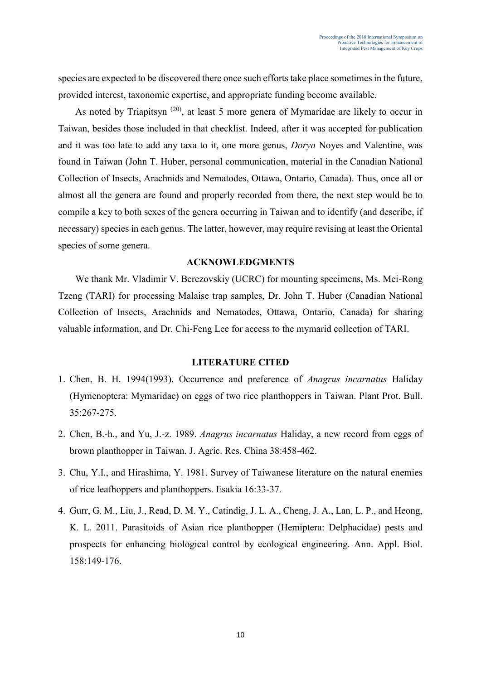species are expected to be discovered there once such efforts take place sometimes in the future, provided interest, taxonomic expertise, and appropriate funding become available.

As noted by Triapitsyn<sup>(20)</sup>, at least 5 more genera of Mymaridae are likely to occur in Taiwan, besides those included in that checklist. Indeed, after it was accepted for publication and it was too late to add any taxa to it, one more genus, *Dorya* Noyes and Valentine, was found in Taiwan (John T. Huber, personal communication, material in the Canadian National Collection of Insects, Arachnids and Nematodes, Ottawa, Ontario, Canada). Thus, once all or almost all the genera are found and properly recorded from there, the next step would be to compile a key to both sexes of the genera occurring in Taiwan and to identify (and describe, if necessary) species in each genus. The latter, however, may require revising at least the Oriental species of some genera.

### **ACKNOWLEDGMENTS**

We thank Mr. Vladimir V. Berezovskiy (UCRC) for mounting specimens, Ms. Mei-Rong Tzeng (TARI) for processing Malaise trap samples, Dr. John T. Huber (Canadian National Collection of Insects, Arachnids and Nematodes, Ottawa, Ontario, Canada) for sharing valuable information, and Dr. Chi-Feng Lee for access to the mymarid collection of TARI.

#### **LITERATURE CITED**

- 1. Chen, B. H. 1994(1993). Occurrence and preference of *Anagrus incarnatus* Haliday (Hymenoptera: Mymaridae) on eggs of two rice planthoppers in Taiwan. Plant Prot. Bull. 35:267-275.
- 2. Chen, B.-h., and Yu, J.-z. 1989. *Anagrus incarnatus* Haliday, a new record from eggs of brown planthopper in Taiwan. J. Agric. Res. China 38:458-462.
- 3. Chu, Y.I., and Hirashima, Y. 1981. Survey of Taiwanese literature on the natural enemies of rice leafhoppers and planthoppers. Esakia 16:33-37.
- 4. Gurr, G. M., Liu, J., Read, D. M. Y., Catindig, J. L. A., Cheng, J. A., Lan, L. P., and Heong, K. L. 2011. Parasitoids of Asian rice planthopper (Hemiptera: Delphacidae) pests and prospects for enhancing biological control by ecological engineering. Ann. Appl. Biol. 158:149-176.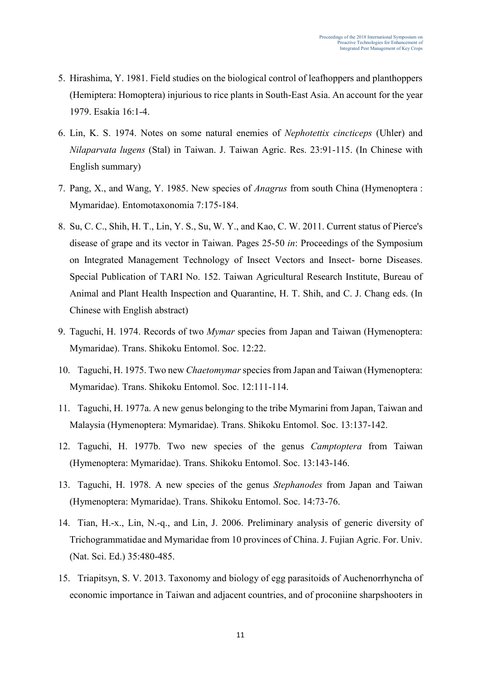- 5. Hirashima, Y. 1981. Field studies on the biological control of leafhoppers and planthoppers (Hemiptera: Homoptera) injurious to rice plants in South-East Asia. An account for the year 1979. Esakia 16:1-4.
- 6. Lin, K. S. 1974. Notes on some natural enemies of *Nephotettix cincticeps* (Uhler) and *Nilaparvata lugens* (Stal) in Taiwan. J. Taiwan Agric. Res. 23:91-115. (In Chinese with English summary)
- 7. Pang, X., and Wang, Y. 1985. New species of *Anagrus* from south China (Hymenoptera : Mymaridae). Entomotaxonomia 7:175-184.
- 8. Su, C. C., Shih, H. T., Lin, Y. S., Su, W. Y., and Kao, C. W. 2011. Current status of Pierce's disease of grape and its vector in Taiwan. Pages 25-50 *in*: Proceedings of the Symposium on Integrated Management Technology of Insect Vectors and Insect- borne Diseases. Special Publication of TARI No. 152. Taiwan Agricultural Research Institute, Bureau of Animal and Plant Health Inspection and Quarantine, H. T. Shih, and C. J. Chang eds. (In Chinese with English abstract)
- 9. Taguchi, H. 1974. Records of two *Mymar* species from Japan and Taiwan (Hymenoptera: Mymaridae). Trans. Shikoku Entomol. Soc. 12:22.
- 10. Taguchi, H. 1975. Two new *Chaetomymar* species from Japan and Taiwan (Hymenoptera: Mymaridae). Trans. Shikoku Entomol. Soc. 12:111-114.
- 11. Taguchi, H. 1977a. A new genus belonging to the tribe Mymarini from Japan, Taiwan and Malaysia (Hymenoptera: Mymaridae). Trans. Shikoku Entomol. Soc. 13:137-142.
- 12. Taguchi, H. 1977b. Two new species of the genus *Camptoptera* from Taiwan (Hymenoptera: Mymaridae). Trans. Shikoku Entomol. Soc. 13:143-146.
- 13. Taguchi, H. 1978. A new species of the genus *Stephanodes* from Japan and Taiwan (Hymenoptera: Mymaridae). Trans. Shikoku Entomol. Soc. 14:73-76.
- 14. Tian, H.-x., Lin, N.-q., and Lin, J. 2006. Preliminary analysis of generic diversity of Trichogrammatidae and Mymaridae from 10 provinces of China. J. Fujian Agric. For. Univ. (Nat. Sci. Ed.) 35:480-485.
- 15. Triapitsyn, S. V. 2013. Taxonomy and biology of egg parasitoids of Auchenorrhyncha of economic importance in Taiwan and adjacent countries, and of proconiine sharpshooters in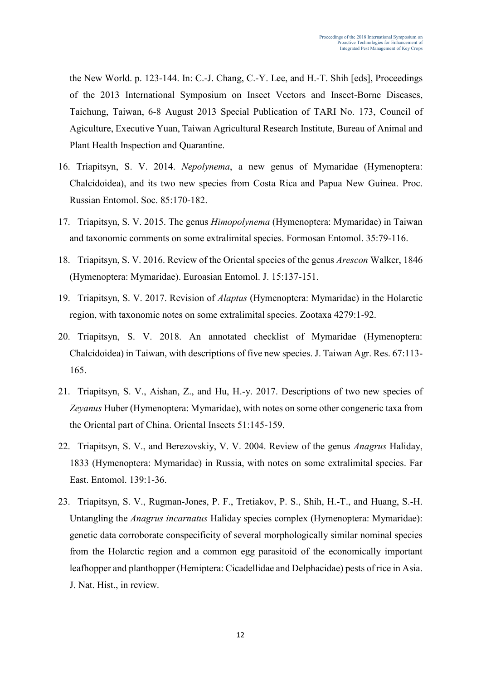the New World. p. 123-144. In: C.-J. Chang, C.-Y. Lee, and H.-T. Shih [eds], Proceedings of the 2013 International Symposium on Insect Vectors and Insect-Borne Diseases, Taichung, Taiwan, 6-8 August 2013 Special Publication of TARI No. 173, Council of Agiculture, Executive Yuan, Taiwan Agricultural Research Institute, Bureau of Animal and Plant Health Inspection and Quarantine.

- 16. Triapitsyn, S. V. 2014. *Nepolynema*, a new genus of Mymaridae (Hymenoptera: Chalcidoidea), and its two new species from Costa Rica and Papua New Guinea. Proc. Russian Entomol. Soc. 85:170-182.
- 17. Triapitsyn, S. V. 2015. The genus *Himopolynema* (Hymenoptera: Mymaridae) in Taiwan and taxonomic comments on some extralimital species. Formosan Entomol. 35:79-116.
- 18. Triapitsyn, S. V. 2016. Review of the Oriental species of the genus *Arescon* Walker, 1846 (Hymenoptera: Mymaridae). Euroasian Entomol. J. 15:137-151.
- 19. Triapitsyn, S. V. 2017. Revision of *Alaptus* (Hymenoptera: Mymaridae) in the Holarctic region, with taxonomic notes on some extralimital species. Zootaxa 4279:1-92.
- 20. Triapitsyn, S. V. 2018. An annotated checklist of Mymaridae (Hymenoptera: Chalcidoidea) in Taiwan, with descriptions of five new species. J. Taiwan Agr. Res. 67:113- 165.
- 21. Triapitsyn, S. V., Aishan, Z., and Hu, H.-y. 2017. Descriptions of two new species of *Zeyanus* Huber (Hymenoptera: Mymaridae), with notes on some other congeneric taxa from the Oriental part of China. Oriental Insects 51:145-159.
- 22. Triapitsyn, S. V., and Berezovskiy, V. V. 2004. Review of the genus *Anagrus* Haliday, 1833 (Hymenoptera: Mymaridae) in Russia, with notes on some extralimital species. Far East. Entomol. 139:1-36.
- 23. Triapitsyn, S. V., Rugman-Jones, P. F., Tretiakov, P. S., Shih, H.-T., and Huang, S.-H. Untangling the *Anagrus incarnatus* Haliday species complex (Hymenoptera: Mymaridae): genetic data corroborate conspecificity of several morphologically similar nominal species from the Holarctic region and a common egg parasitoid of the economically important leafhopper and planthopper (Hemiptera: Cicadellidae and Delphacidae) pests of rice in Asia. J. Nat. Hist., in review.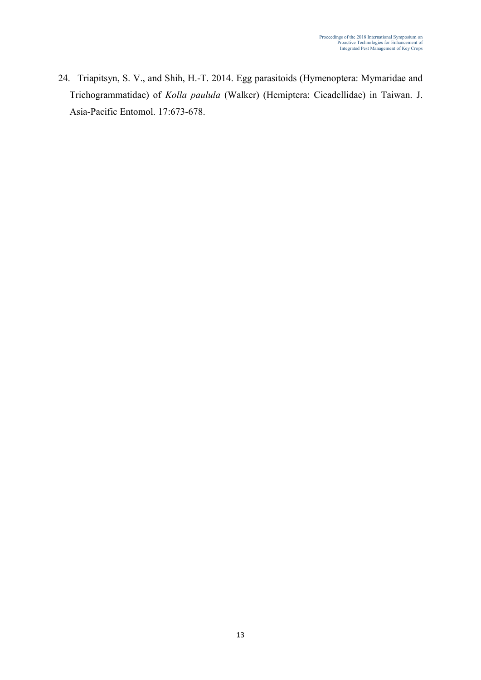24. Triapitsyn, S. V., and Shih, H.-T. 2014. Egg parasitoids (Hymenoptera: Mymaridae and Trichogrammatidae) of *Kolla paulula* (Walker) (Hemiptera: Cicadellidae) in Taiwan. J. Asia-Pacific Entomol. 17:673-678.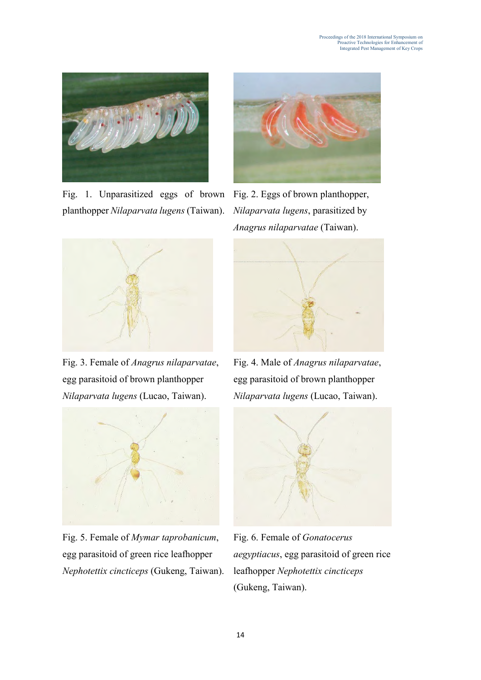

Fig. 1. Unparasitized eggs of brown planthopper *Nilaparvata lugens* (Taiwan).



Fig. 2. Eggs of brown planthopper, *Nilaparvata lugens*, parasitized by *Anagrus nilaparvatae* (Taiwan).



Fig. 3. Female of *Anagrus nilaparvatae*, egg parasitoid of brown planthopper *Nilaparvata lugens* (Lucao, Taiwan).



Fig. 5. Female of *Mymar taprobanicum*, egg parasitoid of green rice leafhopper *Nephotettix cincticeps* (Gukeng, Taiwan).



Fig. 4. Male of *Anagrus nilaparvatae*, egg parasitoid of brown planthopper *Nilaparvata lugens* (Lucao, Taiwan).



Fig. 6. Female of *Gonatocerus aegyptiacus*, egg parasitoid of green rice leafhopper *Nephotettix cincticeps* (Gukeng, Taiwan).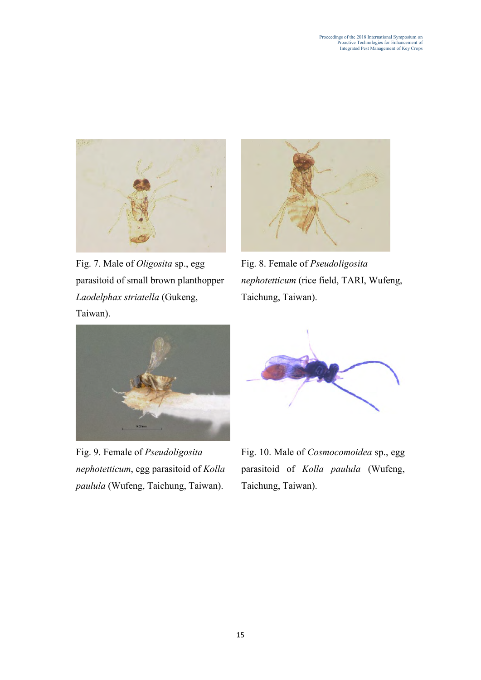

Fig. 7. Male of *Oligosita* sp., egg parasitoid of small brown planthopper *Laodelphax striatella* (Gukeng, Taiwan).



Fig. 8. Female of *Pseudoligosita nephotetticum* (rice field, TARI, Wufeng, Taichung, Taiwan).



Fig. 9. Female of *Pseudoligosita nephotetticum*, egg parasitoid of *Kolla paulula* (Wufeng, Taichung, Taiwan).



Fig. 10. Male of *Cosmocomoidea* sp., egg parasitoid of *Kolla paulula* (Wufeng, Taichung, Taiwan).